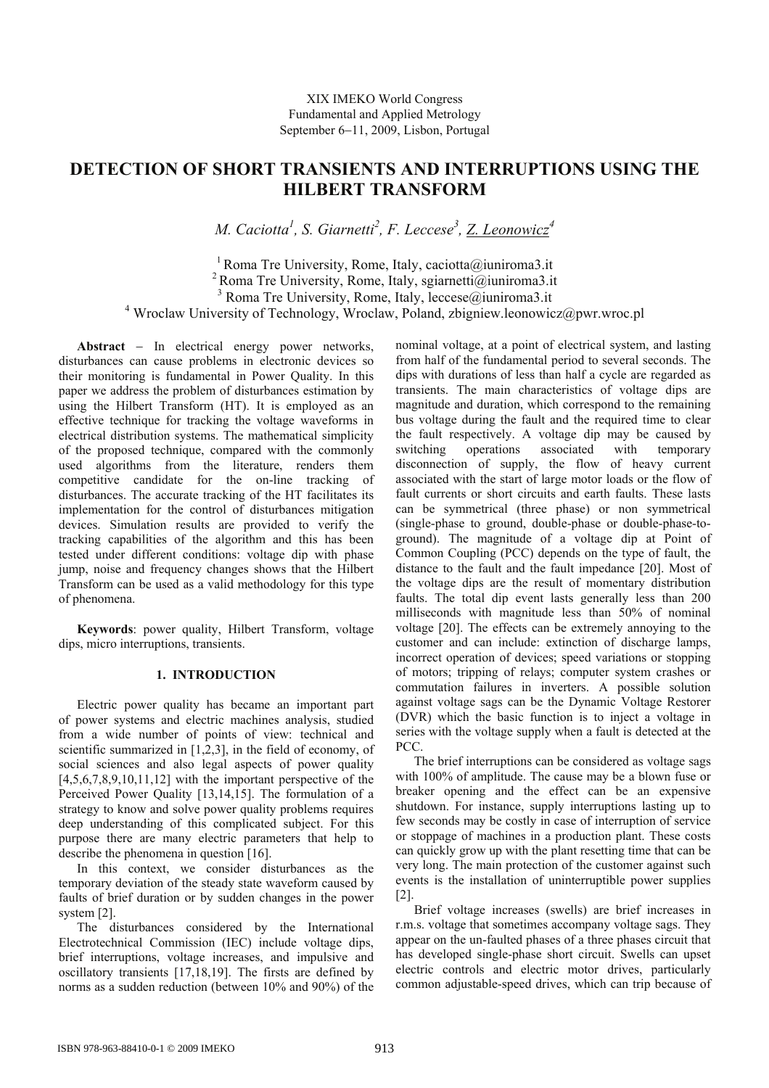# **DETECTION OF SHORT TRANSIENTS AND INTERRUPTIONS USING THE HILBERT TRANSFORM**

*M. Caciotta<sup>1</sup>, S. Giarnetti<sup>2</sup>, F. Leccese<sup>3</sup>, <u>Z. Leonowicz</u><sup>4</sup>* 

<sup>1</sup> Roma Tre University, Rome, Italy, caciotta@iuniroma3.it  $2$  Roma Tre University, Rome, Italy, sgiarnetti@iuniroma3.it 3 Roma Tre University, Rome, Italy, leccese@iuniroma3.it <sup>4</sup> Wroclaw University of Technology, Wroclaw, Poland, zbigniew.leonowicz@pwr.wroc.pl

**Abstract** − In electrical energy power networks, disturbances can cause problems in electronic devices so their monitoring is fundamental in Power Quality. In this paper we address the problem of disturbances estimation by using the Hilbert Transform (HT). It is employed as an effective technique for tracking the voltage waveforms in electrical distribution systems. The mathematical simplicity of the proposed technique, compared with the commonly used algorithms from the literature, renders them competitive candidate for the on-line tracking of disturbances. The accurate tracking of the HT facilitates its implementation for the control of disturbances mitigation devices. Simulation results are provided to verify the tracking capabilities of the algorithm and this has been tested under different conditions: voltage dip with phase jump, noise and frequency changes shows that the Hilbert Transform can be used as a valid methodology for this type of phenomena.

**Keywords**: power quality, Hilbert Transform, voltage dips, micro interruptions, transients.

## **1. INTRODUCTION**

Electric power quality has became an important part of power systems and electric machines analysis, studied from a wide number of points of view: technical and scientific summarized in [1,2,3], in the field of economy, of social sciences and also legal aspects of power quality  $[4,5,6,7,8,9,10,11,12]$  with the important perspective of the Perceived Power Quality [13,14,15]. The formulation of a strategy to know and solve power quality problems requires deep understanding of this complicated subject. For this purpose there are many electric parameters that help to describe the phenomena in question [16].

In this context, we consider disturbances as the temporary deviation of the steady state waveform caused by faults of brief duration or by sudden changes in the power system [2].

The disturbances considered by the International Electrotechnical Commission (IEC) include voltage dips, brief interruptions, voltage increases, and impulsive and oscillatory transients [17,18,19]. The firsts are defined by norms as a sudden reduction (between 10% and 90%) of the nominal voltage, at a point of electrical system, and lasting from half of the fundamental period to several seconds. The dips with durations of less than half a cycle are regarded as transients. The main characteristics of voltage dips are magnitude and duration, which correspond to the remaining bus voltage during the fault and the required time to clear the fault respectively. A voltage dip may be caused by switching operations associated with temporary disconnection of supply, the flow of heavy current associated with the start of large motor loads or the flow of fault currents or short circuits and earth faults. These lasts can be symmetrical (three phase) or non symmetrical (single-phase to ground, double-phase or double-phase-toground). The magnitude of a voltage dip at Point of Common Coupling (PCC) depends on the type of fault, the distance to the fault and the fault impedance [20]. Most of the voltage dips are the result of momentary distribution faults. The total dip event lasts generally less than 200 milliseconds with magnitude less than 50% of nominal voltage [20]. The effects can be extremely annoying to the customer and can include: extinction of discharge lamps, incorrect operation of devices; speed variations or stopping of motors; tripping of relays; computer system crashes or commutation failures in inverters. A possible solution against voltage sags can be the Dynamic Voltage Restorer (DVR) which the basic function is to inject a voltage in series with the voltage supply when a fault is detected at the PCC.

The brief interruptions can be considered as voltage sags with 100% of amplitude. The cause may be a blown fuse or breaker opening and the effect can be an expensive shutdown. For instance, supply interruptions lasting up to few seconds may be costly in case of interruption of service or stoppage of machines in a production plant. These costs can quickly grow up with the plant resetting time that can be very long. The main protection of the customer against such events is the installation of uninterruptible power supplies [2].

Brief voltage increases (swells) are brief increases in r.m.s. voltage that sometimes accompany voltage sags. They appear on the un-faulted phases of a three phases circuit that has developed single-phase short circuit. Swells can upset electric controls and electric motor drives, particularly common adjustable-speed drives, which can trip because of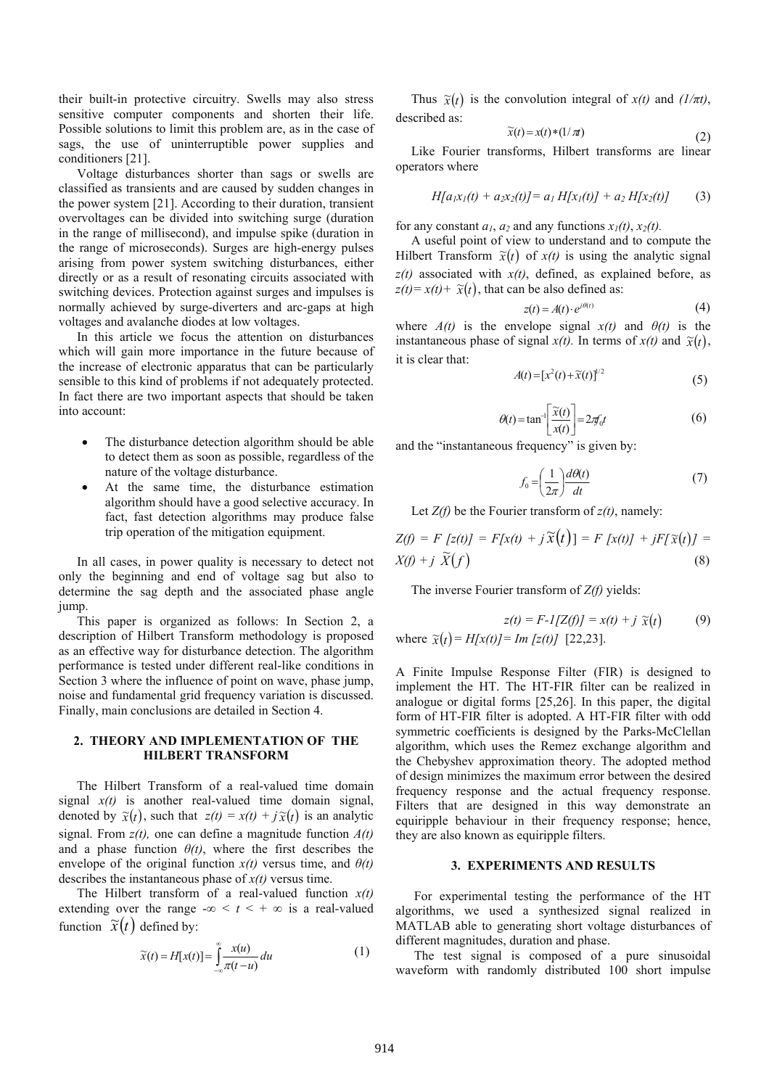their built-in protective circuitry. Swells may also stress sensitive computer components and shorten their life. Possible solutions to limit this problem are, as in the case of sags, the use of uninterruptible power supplies and conditioners [21].

Voltage disturbances shorter than sags or swells are classified as transients and are caused by sudden changes in the power system [21]. According to their duration, transient overvoltages can be divided into switching surge (duration in the range of millisecond), and impulse spike (duration in the range of microseconds). Surges are high-energy pulses arising from power system switching disturbances, either directly or as a result of resonating circuits associated with switching devices. Protection against surges and impulses is normally achieved by surge-diverters and arc-gaps at high voltages and avalanche diodes at low voltages.

In this article we focus the attention on disturbances which will gain more importance in the future because of the increase of electronic apparatus that can be particularly sensible to this kind of problems if not adequately protected. In fact there are two important aspects that should be taken into account:

- The disturbance detection algorithm should be able to detect them as soon as possible, regardless of the nature of the voltage disturbance.
- At the same time, the disturbance estimation algorithm should have a good selective accuracy. In fact, fast detection algorithms may produce false trip operation of the mitigation equipment.

In all cases, in power quality is necessary to detect not only the beginning and end of voltage sag but also to determine the sag depth and the associated phase angle iump.

This paper is organized as follows: In Section 2, a description of Hilbert Transform methodology is proposed as an effective way for disturbance detection. The algorithm performance is tested under different real-like conditions in Section 3 where the influence of point on wave, phase jump, noise and fundamental grid frequency variation is discussed. Finally, main conclusions are detailed in Section 4.

### **2. THEORY AND IMPLEMENTATION OF THE HILBERT TRANSFORM**

The Hilbert Transform of a real-valued time domain signal  $x(t)$  is another real-valued time domain signal, denoted by  $\tilde{x}(t)$ , such that  $z(t) = x(t) + j\tilde{x}(t)$  is an analytic signal. From *z(t),* one can define a magnitude function *A(t)* and a phase function  $\theta(t)$ , where the first describes the envelope of the original function  $x(t)$  versus time, and  $\theta(t)$ describes the instantaneous phase of  $x(t)$  versus time.

The Hilbert transform of a real-valued function  $x(t)$ extending over the range  $-\infty < t < +\infty$  is a real-valued function  $\tilde{x}(t)$  defined by:

$$
\widetilde{x}(t) = H[x(t)] = \int_{-\infty}^{\infty} \frac{x(u)}{\pi(t-u)} du \tag{1}
$$

Thus  $\tilde{x}(t)$  is the convolution integral of  $x(t)$  and  $(1/\pi t)$ , described as:

$$
\widetilde{x}(t) = x(t) * (1/\pi)
$$
\n(2)

Like Fourier transforms, Hilbert transforms are linear operators where

$$
H[a_1x_1(t) + a_2x_2(t)] = a_1 H[x_1(t)] + a_2 H[x_2(t)] \qquad (3)
$$

for any constant  $a_1$ ,  $a_2$  and any functions  $x_1(t)$ ,  $x_2(t)$ .

A useful point of view to understand and to compute the Hilbert Transform  $\tilde{x}(t)$  of  $x(t)$  is using the analytic signal *z(t)* associated with *x(t)*, defined, as explained before, as  $z(t) = x(t) + \tilde{x}(t)$ , that can be also defined as:

$$
z(t) = A(t) \cdot e^{j\theta(t)} \tag{4}
$$

where  $A(t)$  is the envelope signal  $x(t)$  and  $\theta(t)$  is the instantaneous phase of signal  $x(t)$ . In terms of  $x(t)$  and  $\tilde{x}(t)$ , it is clear that:

$$
A(t) = [x^2(t) + \widetilde{x}(t)]^{1/2}
$$
\n(5)

$$
\theta(t) = \tan^{-1} \left[ \frac{\widetilde{x}(t)}{x(t)} \right] = 2\pi f_0 t \tag{6}
$$

and the "instantaneous frequency" is given by:

$$
f_0 = \left(\frac{1}{2\pi}\right) \frac{d\theta(t)}{dt} \tag{7}
$$

Let *Z(f)* be the Fourier transform of *z(t)*, namely:

$$
Z(f) = F [z(t)] = F[x(t) + j\widetilde{x}(t)] = F [x(t)] + jF[\widetilde{x}(t)] =
$$
  

$$
X(f) + j\widetilde{X}(f)
$$
 (8)

The inverse Fourier transform of *Z(f)* yields:

$$
z(t) = F - I[Z(t)] = x(t) + j \tilde{x}(t)
$$
 (9)  
where  $\tilde{x}(t) = H[x(t)] = Im [z(t)]$  [22,23].

A Finite Impulse Response Filter (FIR) is designed to implement the HT. The HT-FIR filter can be realized in analogue or digital forms [25,26]. In this paper, the digital form of HT-FIR filter is adopted. A HT-FIR filter with odd symmetric coefficients is designed by the Parks-McClellan algorithm, which uses the Remez exchange algorithm and the Chebyshev approximation theory. The adopted method of design minimizes the maximum error between the desired frequency response and the actual frequency response. Filters that are designed in this way demonstrate an equiripple behaviour in their frequency response; hence, they are also known as equiripple filters.

#### **3. EXPERIMENTS AND RESULTS**

For experimental testing the performance of the HT algorithms, we used a synthesized signal realized in MATLAB able to generating short voltage disturbances of different magnitudes, duration and phase.

The test signal is composed of a pure sinusoidal waveform with randomly distributed 100 short impulse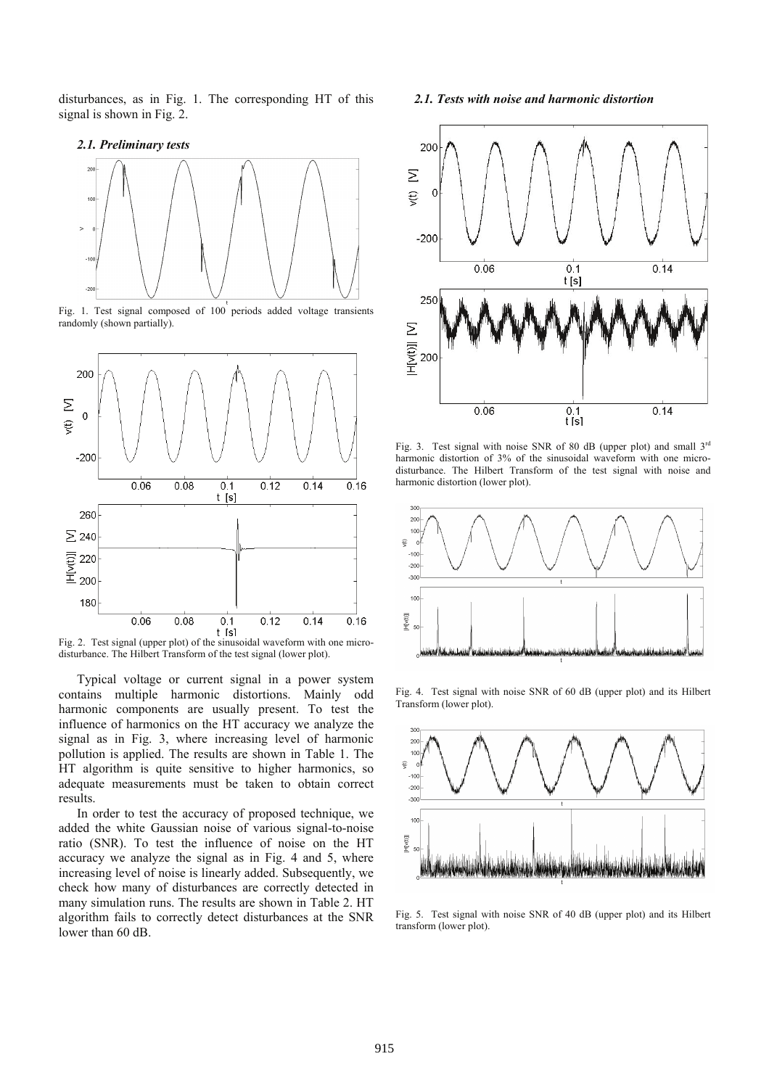disturbances, as in Fig. 1. The corresponding HT of this signal is shown in Fig. 2.

#### *2.1. Preliminary tests*



Fig. 1. Test signal composed of 100 periods added voltage transients randomly (shown partially).



Fig. 2. Test signal (upper plot) of the sinusoidal waveform with one microdisturbance. The Hilbert Transform of the test signal (lower plot).

Typical voltage or current signal in a power system contains multiple harmonic distortions. Mainly odd harmonic components are usually present. To test the influence of harmonics on the HT accuracy we analyze the signal as in Fig. 3, where increasing level of harmonic pollution is applied. The results are shown in Table 1. The HT algorithm is quite sensitive to higher harmonics, so adequate measurements must be taken to obtain correct results.

In order to test the accuracy of proposed technique, we added the white Gaussian noise of various signal-to-noise ratio (SNR). To test the influence of noise on the HT accuracy we analyze the signal as in Fig. 4 and 5, where increasing level of noise is linearly added. Subsequently, we check how many of disturbances are correctly detected in many simulation runs. The results are shown in Table 2. HT algorithm fails to correctly detect disturbances at the SNR lower than 60 dB.

*2.1. Tests with noise and harmonic distortion* 



Fig. 3. Test signal with noise SNR of 80 dB (upper plot) and small  $3<sup>rd</sup>$ harmonic distortion of 3% of the sinusoidal waveform with one microdisturbance. The Hilbert Transform of the test signal with noise and harmonic distortion (lower plot).



Fig. 4. Test signal with noise SNR of 60 dB (upper plot) and its Hilbert Transform (lower plot).



Fig. 5. Test signal with noise SNR of 40 dB (upper plot) and its Hilbert transform (lower plot).